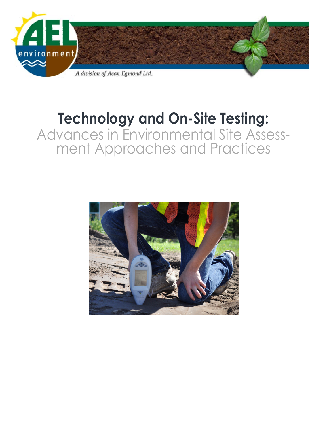

# **Technology and On-Site Testing:**  Advances in Environmental Site Assessment Approaches and Practices

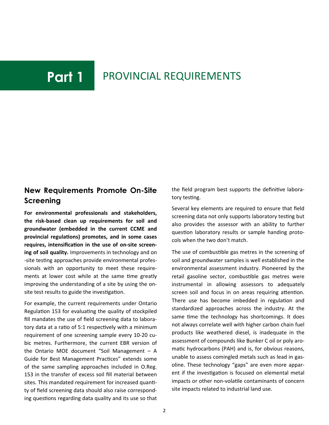# **Part 1 PROVINCIAL REQUIREMENTS**

## **New Requirements Promote On-Site Screening**

**For environmental professionals and stakeholders, the risk‐based clean up requirements for soil and groundwater (embedded in the current CCME and provincial regulaƟons) promotes, and in some cases requires, intensificaƟon in the use of on‐site screen‐ ing of soil quality.** Improvements in technology and on -site testing approaches provide environmental professionals with an opportunity to meet these require‐ ments at lower cost while at the same time greatly improving the understanding of a site by using the on‐ site test results to guide the investigation.

For example, the current requirements under Ontario Regulation 153 for evaluating the quality of stockpiled fill mandates the use of field screening data to labora‐ tory data at a ratio of 5:1 respectively with a minimum requirement of one screening sample every 10‐20 cu‐ bic metres. Furthermore, the current EBR version of the Ontario MOE document "Soil Management – A Guide for Best Management Practices" extends some of the same sampling approaches included in O.Reg. 153 in the transfer of excess soil fill material between sites. This mandated requirement for increased quantity of field screening data should also raise correspond‐ ing questions regarding data quality and its use so that the field program best supports the definitive laboratory testing.

Several key elements are required to ensure that field screening data not only supports laboratory testing but also provides the assessor with an ability to further question laboratory results or sample handing protocols when the two don't match.

The use of combustible gas metres in the screening of soil and groundwater samples is well established in the environmental assessment industry. Pioneered by the retail gasoline sector, combustible gas metres were instrumental in allowing assessors to adequately screen soil and focus in on areas requiring attention. There use has become imbedded in regulation and standardized approaches across the industry. At the same time the technology has shortcomings. It does not always correlate well with higher carbon chain fuel products like weathered diesel, is inadequate in the assessment of compounds like Bunker C oil or poly aro‐ matic hydrocarbons (PAH) and is, for obvious reasons, unable to assess comingled metals such as lead in gas‐ oline. These technology "gaps" are even more appar‐ ent if the investigation is focused on elemental metal impacts or other non-volatile contaminants of concern site impacts related to industrial land use.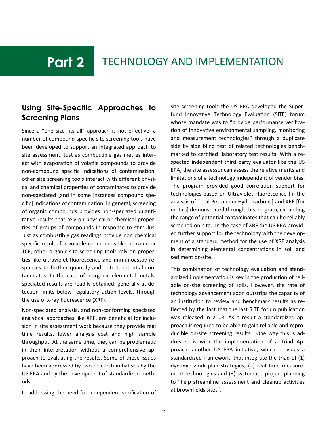## **Part 2** TECHNOLOGY AND IMPLEMENTATION

## **Using Site-Specific Approaches to Screening Plans**

Since a "one size fits all" approach is not effective, a number of compound‐specific site screening tools have been developed to support an integrated approach to site assessment. Just as combustible gas metres interact with evaporation of volatile compounds to provide non-compound specific indications of contamination, other site screening tools interact with different physi‐ cal and chemical properties of contaminates to provide non‐speciated [and in some instances compound spe‐ cific] indications of contamination. In general, screening of organic compounds provides non-speciated quantitative results that rely on physical or chemical properties of groups of compounds in response to stimulus. Just as combustible gas readings provide non chemical specific results for volatile compounds like benzene or TCE, other organic site screening tools rely on proper‐ ties like ultraviolet fluorescence and immunoassay responses to further quantify and detect potential contaminates. In the case of inorganic elemental metals, speciated results are readily obtained, generally at detection limits below regulatory action levels, through the use of x‐ray fluorescence (XRF).

Non‐speciated analysis, and non‐conforming speciated analytical approaches like XRF, are beneficial for inclusion in site assessment work because they provide real time results, lower analysis cost and high sample throughput. At the same time, they can be problematic in their interpretation without a comprehensive approach to evaluating the results. Some of these issues have been addressed by two research initiatives by the US EPA and by the development of standardized meth‐ ods.

In addressing the need for independent verification of

site screening tools the US EPA developed the Super‐ fund Innovative Technology Evaluation (SITE) forum whose mandate was to "provide performance verification of innovative environmental sampling, monitoring and measurement technologies" through a duplicate side by side blind test of related technologies bench‐ marked to certified laboratory test results. With a respected independent third party evaluator like the US EPA, the site assessor can assess the relative merits and limitations of a technology independent of vendor bias. The program provided good correlation support for technologies based on Ultraviolet Fluorescence [in the analysis of Total Petroleum Hydrocarbons] and XRF [for metals] demonstrated through this program, expanding the range of potential contaminates that can be reliably screened on-site. In the case of XRF the US EPA provided further support for the technology with the develop‐ ment of a standard method for the use of XRF analysis in determining elemental concentrations in soil and sediment on‐site.

This combination of technology evaluation and standardized implementation is key in the production of reliable on‐site screening of soils. However, the rate of technology advancement soon outstrips the capacity of an institution to review and benchmark results as reflected by the fact that the last SITE forum publication was released in 2008. As a result a standardized ap‐ proach is required to be able to gain reliable and repro‐ ducible on-site screening results. One way this is addressed is with the implementation of a Triad Approach, another US EPA initiative, which provides a standardized framework that integrate the triad of (1) dynamic work plan strategies, (2) real time measurement technologies and (3) systematic project planning to "help streamline assessment and cleanup activities at brownfields sites".